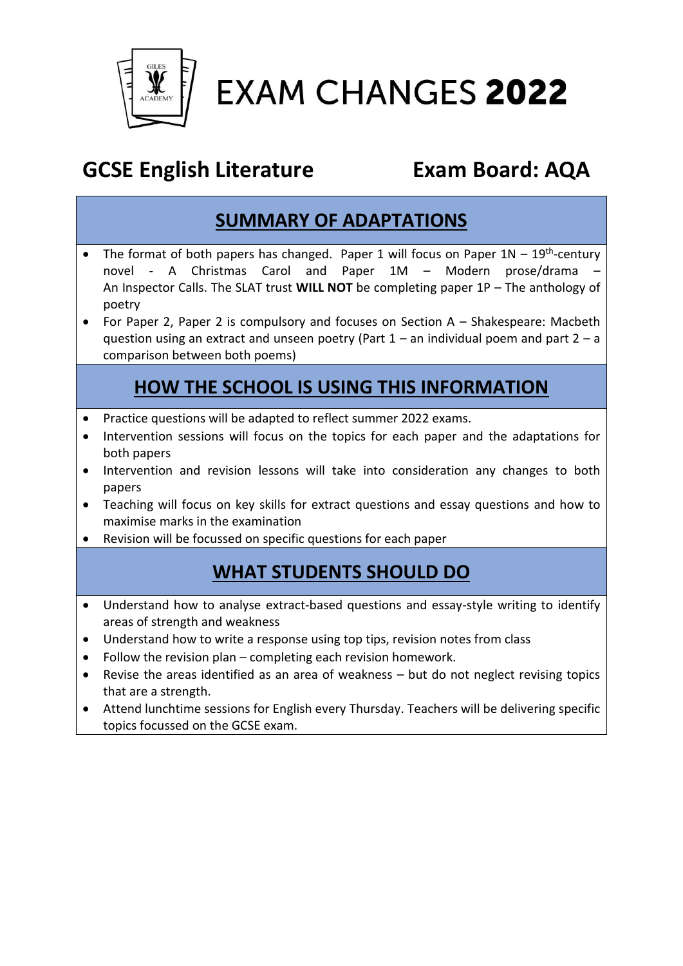

**EXAM CHANGES 2022** 

# **GCSE English Literature Exam Board: AQA**

### **SUMMARY OF ADAPTATIONS**

- The format of both papers has changed. Paper 1 will focus on Paper  $1N 19<sup>th</sup>$ -century novel - A Christmas Carol and Paper 1M – Modern prose/drama – An Inspector Calls. The SLAT trust **WILL NOT** be completing paper 1P – The anthology of poetry
- For Paper 2, Paper 2 is compulsory and focuses on Section A Shakespeare: Macbeth question using an extract and unseen poetry (Part  $1 -$  an individual poem and part  $2 - a$ comparison between both poems)

## **HOW THE SCHOOL IS USING THIS INFORMATION**

- Practice questions will be adapted to reflect summer 2022 exams.
- Intervention sessions will focus on the topics for each paper and the adaptations for both papers
- Intervention and revision lessons will take into consideration any changes to both papers
- Teaching will focus on key skills for extract questions and essay questions and how to maximise marks in the examination
- Revision will be focussed on specific questions for each paper

### **WHAT STUDENTS SHOULD DO**

- Understand how to analyse extract-based questions and essay-style writing to identify areas of strength and weakness
- Understand how to write a response using top tips, revision notes from class
- Follow the revision plan completing each revision homework.
- Revise the areas identified as an area of weakness but do not neglect revising topics that are a strength.
- Attend lunchtime sessions for English every Thursday. Teachers will be delivering specific topics focussed on the GCSE exam.